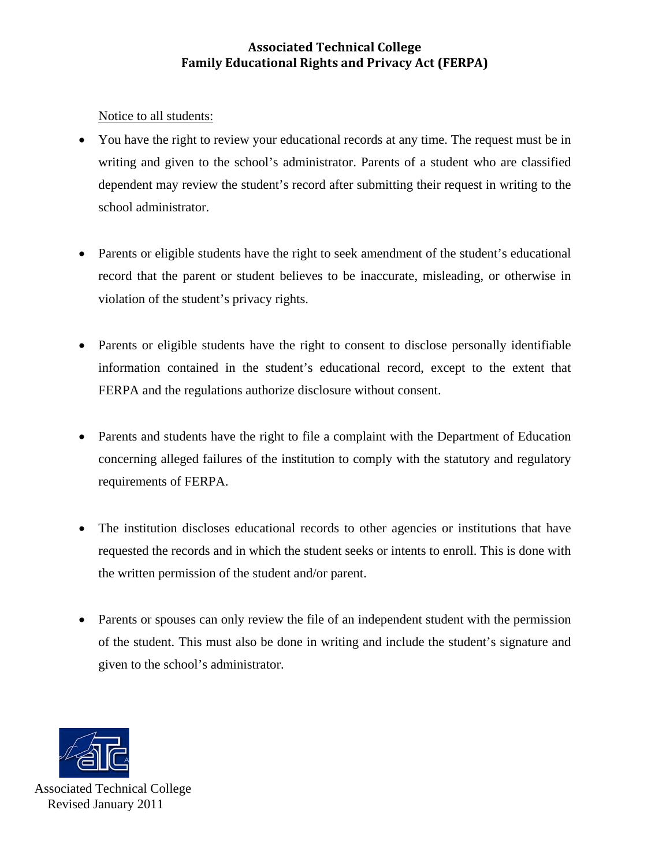## **Associated Technical College Family Educational Rights and Privacy Act (FERPA)**

Notice to all students:

- You have the right to review your educational records at any time. The request must be in writing and given to the school's administrator. Parents of a student who are classified dependent may review the student's record after submitting their request in writing to the school administrator.
- Parents or eligible students have the right to seek amendment of the student's educational record that the parent or student believes to be inaccurate, misleading, or otherwise in violation of the student's privacy rights.
- Parents or eligible students have the right to consent to disclose personally identifiable information contained in the student's educational record, except to the extent that FERPA and the regulations authorize disclosure without consent.
- Parents and students have the right to file a complaint with the Department of Education concerning alleged failures of the institution to comply with the statutory and regulatory requirements of FERPA.
- The institution discloses educational records to other agencies or institutions that have requested the records and in which the student seeks or intents to enroll. This is done with the written permission of the student and/or parent.
- Parents or spouses can only review the file of an independent student with the permission of the student. This must also be done in writing and include the student's signature and given to the school's administrator.



Associated Technical College Revised January 2011